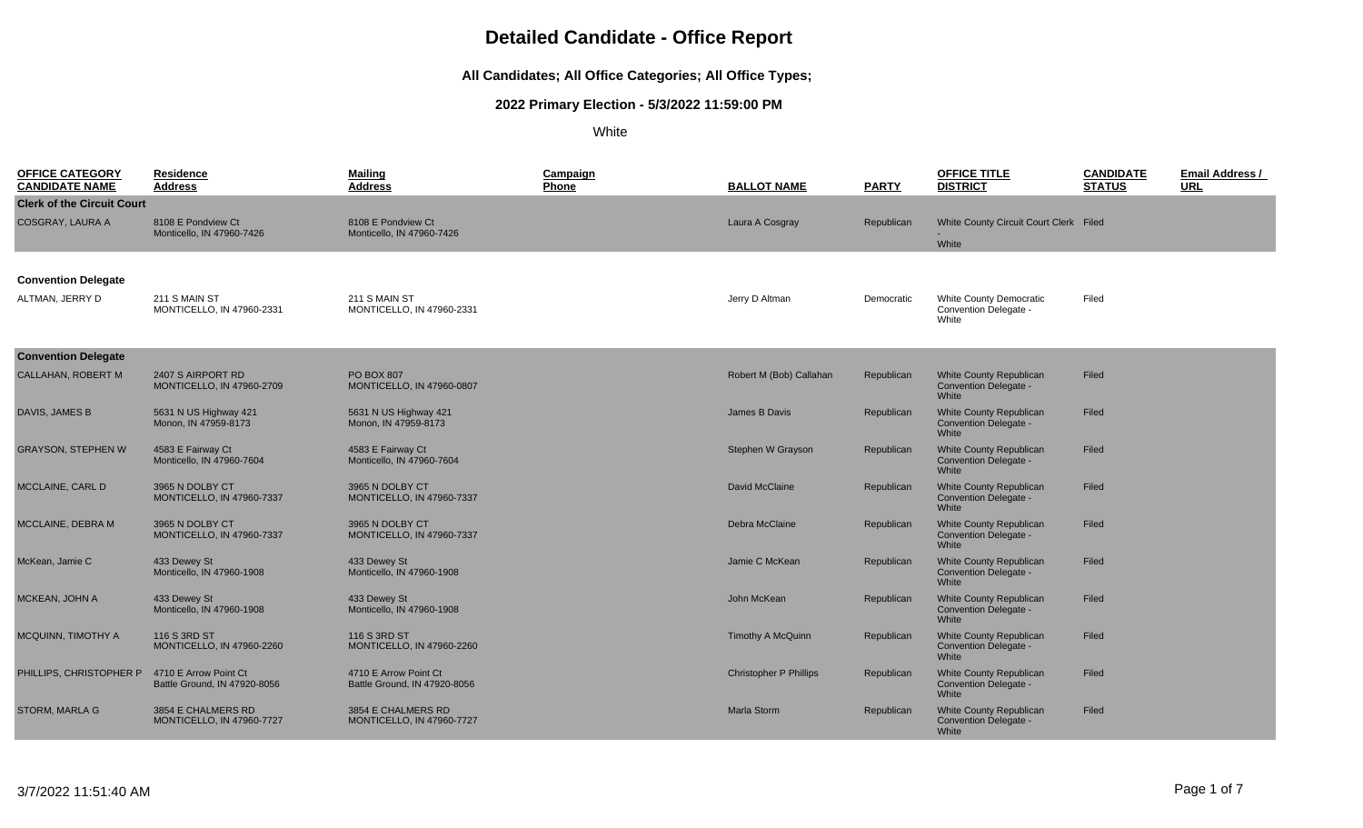#### **All Candidates; All Office Categories; All Office Types;**

#### **2022 Primary Election - 5/3/2022 11:59:00 PM**

White

| <b>OFFICE CATEGORY</b><br><b>CANDIDATE NAME</b> | <u>Residence</u><br><b>Address</b>                     | <b>Mailing</b><br><b>Address</b>                       | Campaign<br>Phone | <b>BALLOT NAME</b>            | <b>PARTY</b> | <b>OFFICE TITLE</b><br><b>DISTRICT</b>                                  | <b>CANDIDATE</b><br><b>STATUS</b> | <b>Email Address /</b><br><b>URL</b> |
|-------------------------------------------------|--------------------------------------------------------|--------------------------------------------------------|-------------------|-------------------------------|--------------|-------------------------------------------------------------------------|-----------------------------------|--------------------------------------|
| <b>Clerk of the Circuit Court</b>               |                                                        |                                                        |                   |                               |              |                                                                         |                                   |                                      |
| <b>COSGRAY, LAURA A</b>                         | 8108 E Pondview Ct                                     | 8108 E Pondview Ct                                     |                   | Laura A Cosgray               | Republican   | White County Circuit Court Clerk Filed                                  |                                   |                                      |
|                                                 | Monticello, IN 47960-7426                              | Monticello, IN 47960-7426                              |                   |                               |              | White                                                                   |                                   |                                      |
|                                                 |                                                        |                                                        |                   |                               |              |                                                                         |                                   |                                      |
| <b>Convention Delegate</b>                      |                                                        |                                                        |                   |                               |              |                                                                         |                                   |                                      |
| ALTMAN, JERRY D                                 | 211 S MAIN ST<br>MONTICELLO, IN 47960-2331             | 211 S MAIN ST<br>MONTICELLO, IN 47960-2331             |                   | Jerry D Altman                | Democratic   | <b>White County Democratic</b><br>Convention Delegate -<br>White        | Filed                             |                                      |
| <b>Convention Delegate</b>                      |                                                        |                                                        |                   |                               |              |                                                                         |                                   |                                      |
| <b>CALLAHAN, ROBERT M</b>                       | 2407 S AIRPORT RD<br><b>MONTICELLO, IN 47960-2709</b>  | <b>PO BOX 807</b><br>MONTICELLO, IN 47960-0807         |                   | Robert M (Bob) Callahan       | Republican   | White County Republican<br>Convention Delegate -<br>White               | Filed                             |                                      |
| <b>DAVIS, JAMES B</b>                           | 5631 N US Highway 421<br>Monon, IN 47959-8173          | 5631 N US Highway 421<br>Monon. IN 47959-8173          |                   | James B Davis                 | Republican   | <b>White County Republican</b><br><b>Convention Delegate -</b><br>White | Filed                             |                                      |
| <b>GRAYSON, STEPHEN W</b>                       | 4583 E Fairway Ct<br>Monticello. IN 47960-7604         | 4583 E Fairway Ct<br>Monticello. IN 47960-7604         |                   | Stephen W Grayson             | Republican   | <b>White County Republican</b><br><b>Convention Delegate -</b><br>White | Filed                             |                                      |
| MCCLAINE, CARL D                                | 3965 N DOLBY CT<br><b>MONTICELLO, IN 47960-7337</b>    | 3965 N DOLBY CT<br><b>MONTICELLO, IN 47960-7337</b>    |                   | David McClaine                | Republican   | <b>White County Republican</b><br>Convention Delegate -<br>White        | Filed                             |                                      |
| MCCLAINE, DEBRA M                               | 3965 N DOLBY CT<br><b>MONTICELLO, IN 47960-7337</b>    | 3965 N DOLBY CT<br><b>MONTICELLO, IN 47960-7337</b>    |                   | Debra McClaine                | Republican   | <b>White County Republican</b><br><b>Convention Delegate -</b><br>White | Filed                             |                                      |
| McKean, Jamie C                                 | 433 Dewey St<br>Monticello. IN 47960-1908              | 433 Dewey St<br>Monticello. IN 47960-1908              |                   | Jamie C McKean                | Republican   | <b>White County Republican</b><br><b>Convention Delegate -</b><br>White | Filed                             |                                      |
| MCKEAN, JOHN A                                  | 433 Dewey St<br>Monticello, IN 47960-1908              | 433 Dewey St<br>Monticello, IN 47960-1908              |                   | John McKean                   | Republican   | <b>White County Republican</b><br>Convention Delegate -<br>White        | Filed                             |                                      |
| MCQUINN, TIMOTHY A                              | 116 S 3RD ST<br><b>MONTICELLO, IN 47960-2260</b>       | 116 S 3RD ST<br>MONTICELLO, IN 47960-2260              |                   | <b>Timothy A McQuinn</b>      | Republican   | <b>White County Republican</b><br><b>Convention Delegate -</b><br>White | Filed                             |                                      |
| PHILLIPS, CHRISTOPHER P                         | 4710 E Arrow Point Ct<br>Battle Ground, IN 47920-8056  | 4710 E Arrow Point Ct<br>Battle Ground, IN 47920-8056  |                   | <b>Christopher P Phillips</b> | Republican   | <b>White County Republican</b><br><b>Convention Delegate -</b><br>White | Filed                             |                                      |
| <b>STORM, MARLA G</b>                           | 3854 E CHALMERS RD<br><b>MONTICELLO, IN 47960-7727</b> | 3854 E CHALMERS RD<br><b>MONTICELLO, IN 47960-7727</b> |                   | <b>Marla Storm</b>            | Republican   | <b>White County Republican</b><br>Convention Delegate -<br>White        | Filed                             |                                      |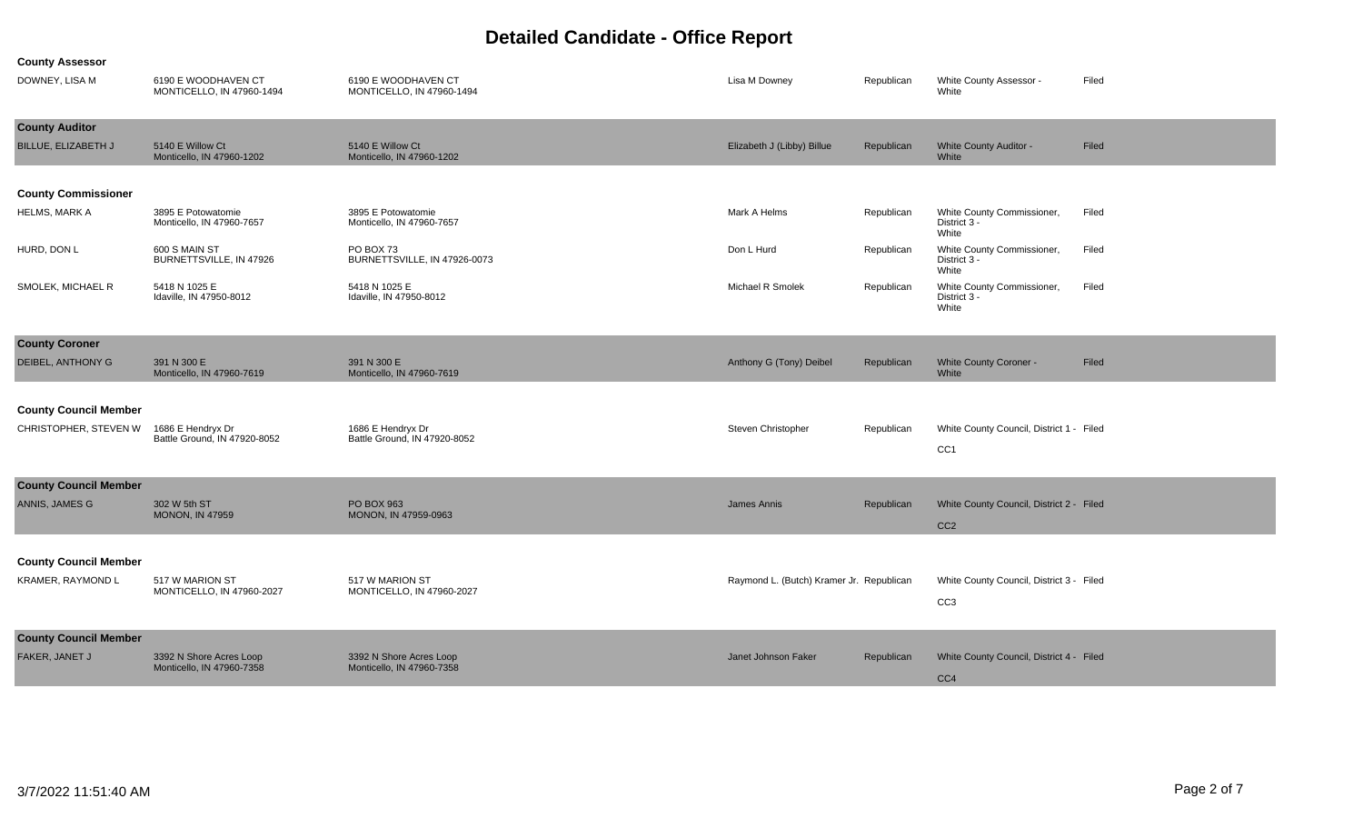**County Assessor**

| DOWNEY, LISA M               | 6190 E WOODHAVEN CT<br>MONTICELLO, IN 47960-1494  | 6190 E WOODHAVEN CT<br>MONTICELLO, IN 47960-1494  | Lisa M Downey                            | Republican | White County Assessor -<br>White                    | Filed |
|------------------------------|---------------------------------------------------|---------------------------------------------------|------------------------------------------|------------|-----------------------------------------------------|-------|
| <b>County Auditor</b>        |                                                   |                                                   |                                          |            |                                                     |       |
| BILLUE, ELIZABETH J          | 5140 E Willow Ct<br>Monticello. IN 47960-1202     | 5140 E Willow Ct<br>Monticello. IN 47960-1202     | Elizabeth J (Libby) Billue               | Republican | <b>White County Auditor -</b><br>White              | Filed |
| <b>County Commissioner</b>   |                                                   |                                                   |                                          |            |                                                     |       |
| HELMS, MARK A                | 3895 E Potowatomie<br>Monticello, IN 47960-7657   | 3895 E Potowatomie<br>Monticello, IN 47960-7657   | Mark A Helms                             | Republican | White County Commissioner,<br>District 3 -<br>White | Filed |
| HURD, DON L                  | 600 S MAIN ST<br>BURNETTSVILLE, IN 47926          | PO BOX 73<br>BURNETTSVILLE, IN 47926-0073         | Don L Hurd                               | Republican | White County Commissioner,<br>District 3 -<br>White | Filed |
| SMOLEK, MICHAEL R            | 5418 N 1025 E<br>Idaville, IN 47950-8012          | 5418 N 1025 E<br>Idaville, IN 47950-8012          | Michael R Smolek                         | Republican | White County Commissioner,<br>District 3 -<br>White | Filed |
| <b>County Coroner</b>        |                                                   |                                                   |                                          |            |                                                     |       |
| <b>DEIBEL, ANTHONY G</b>     | 391 N 300 E<br>Monticello, IN 47960-7619          | 391 N 300 E<br>Monticello, IN 47960-7619          | Anthony G (Tony) Deibel                  | Republican | <b>White County Coroner -</b><br>White              | Filed |
|                              |                                                   |                                                   |                                          |            |                                                     |       |
| <b>County Council Member</b> |                                                   |                                                   |                                          |            |                                                     |       |
| CHRISTOPHER, STEVEN W        | 1686 E Hendryx Dr<br>Battle Ground, IN 47920-8052 | 1686 E Hendryx Dr<br>Battle Ground. IN 47920-8052 | Steven Christopher                       | Republican | White County Council, District 1 - Filed            |       |
|                              |                                                   |                                                   |                                          |            | CC1                                                 |       |
| <b>County Council Member</b> |                                                   |                                                   |                                          |            |                                                     |       |
| ANNIS, JAMES G               | 302 W 5th ST                                      | PO BOX 963                                        | <b>James Annis</b>                       | Republican | White County Council, District 2 - Filed            |       |
|                              | <b>MONON, IN 47959</b>                            | MONON, IN 47959-0963                              |                                          |            | CC <sub>2</sub>                                     |       |
|                              |                                                   |                                                   |                                          |            |                                                     |       |
| <b>County Council Member</b> |                                                   |                                                   |                                          |            |                                                     |       |
| KRAMER, RAYMOND L            | 517 W MARION ST<br>MONTICELLO, IN 47960-2027      | 517 W MARION ST<br>MONTICELLO, IN 47960-2027      | Raymond L. (Butch) Kramer Jr. Republican |            | White County Council, District 3 - Filed            |       |
|                              |                                                   |                                                   |                                          |            | CC <sub>3</sub>                                     |       |
| <b>County Council Member</b> |                                                   |                                                   |                                          |            |                                                     |       |
| FAKER, JANET J               | 3392 N Shore Acres Loop                           | 3392 N Shore Acres Loop                           | Janet Johnson Faker                      | Republican | White County Council, District 4 - Filed            |       |
|                              | Monticello, IN 47960-7358                         | Monticello, IN 47960-7358                         |                                          |            | CC4                                                 |       |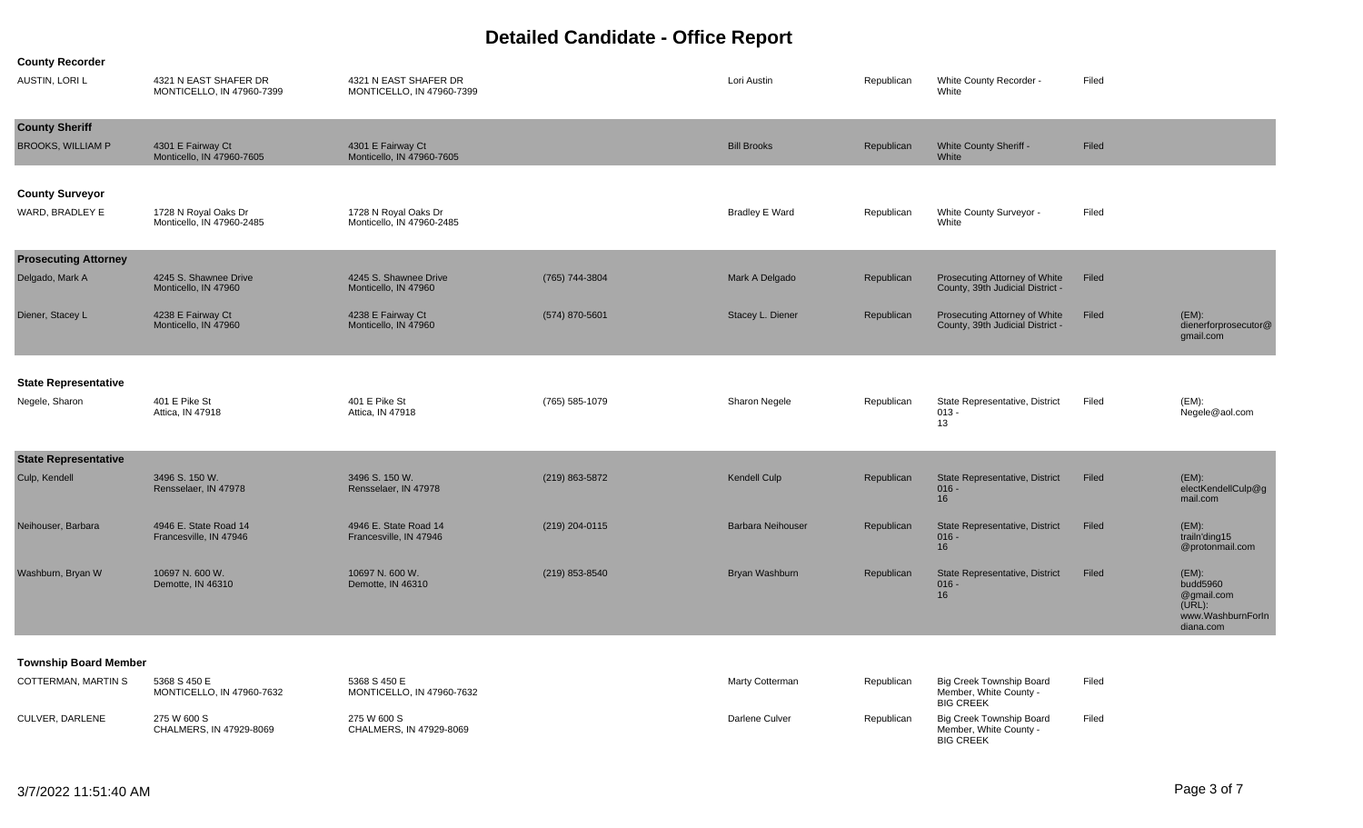| <b>AUSTIN, LORI L</b>                             | 4321 N EAST SHAFER DR<br>MONTICELLO, IN 47960-7399 | 4321 N EAST SHAFER DR<br>MONTICELLO, IN 47960-7399 |                  | Lori Austin              | Republican | White County Recorder -<br>White                                  | Filed |                                                                                |
|---------------------------------------------------|----------------------------------------------------|----------------------------------------------------|------------------|--------------------------|------------|-------------------------------------------------------------------|-------|--------------------------------------------------------------------------------|
| <b>County Sheriff</b><br><b>BROOKS, WILLIAM P</b> | 4301 E Fairway Ct<br>Monticello, IN 47960-7605     | 4301 E Fairway Ct<br>Monticello, IN 47960-7605     |                  | <b>Bill Brooks</b>       | Republican | White County Sheriff -<br>White                                   | Filed |                                                                                |
| <b>County Surveyor</b><br>WARD, BRADLEY E         | 1728 N Royal Oaks Dr<br>Monticello, IN 47960-2485  | 1728 N Royal Oaks Dr<br>Monticello, IN 47960-2485  |                  | <b>Bradley E Ward</b>    | Republican | White County Surveyor -<br>White                                  | Filed |                                                                                |
| <b>Prosecuting Attorney</b><br>Delgado, Mark A    | 4245 S. Shawnee Drive<br>Monticello, IN 47960      | 4245 S. Shawnee Drive<br>Monticello, IN 47960      | (765) 744-3804   | Mark A Delgado           | Republican | Prosecuting Attorney of White<br>County, 39th Judicial District - | Filed |                                                                                |
| Diener, Stacey L                                  | 4238 E Fairway Ct<br>Monticello, IN 47960          | 4238 E Fairway Ct<br>Monticello, IN 47960          | (574) 870-5601   | Stacey L. Diener         | Republican | Prosecuting Attorney of White<br>County, 39th Judicial District - | Filed | $(EM)$ :<br>dienerforprosecutor@<br>gmail.com                                  |
| <b>State Representative</b><br>Negele, Sharon     | 401 E Pike St<br>Attica, IN 47918                  | 401 E Pike St<br>Attica, IN 47918                  | (765) 585-1079   | Sharon Negele            | Republican | State Representative, District<br>$013 -$<br>13                   | Filed | $(EM)$ :<br>Negele@aol.com                                                     |
| <b>State Representative</b><br>Culp, Kendell      | 3496 S. 150 W.<br>Rensselaer, IN 47978             | 3496 S. 150 W.<br>Rensselaer, IN 47978             | (219) 863-5872   | <b>Kendell Culp</b>      | Republican | State Representative, District<br>$016 -$<br>16                   | Filed | $(EM)$ :<br>electKendellCulp@g<br>mail.com                                     |
| Neihouser, Barbara                                | 4946 E. State Road 14<br>Francesville, IN 47946    | 4946 E. State Road 14<br>Francesville, IN 47946    | $(219)$ 204-0115 | <b>Barbara Neihouser</b> | Republican | State Representative, District<br>$016 -$<br>16                   | Filed | (EM):<br>trailn'ding15<br>@protonmail.com                                      |
| Washburn, Bryan W                                 | 10697 N. 600 W.<br>Demotte, IN 46310               | 10697 N. 600 W.<br>Demotte, IN 46310               | (219) 853-8540   | Bryan Washburn           | Republican | State Representative, District<br>$016 -$<br>16                   | Filed | $(EM)$ :<br>budd5960<br>@gmail.com<br>(URL):<br>www.WashburnForIn<br>diana.com |
| <b>Township Board Member</b>                      |                                                    |                                                    |                  |                          |            |                                                                   |       |                                                                                |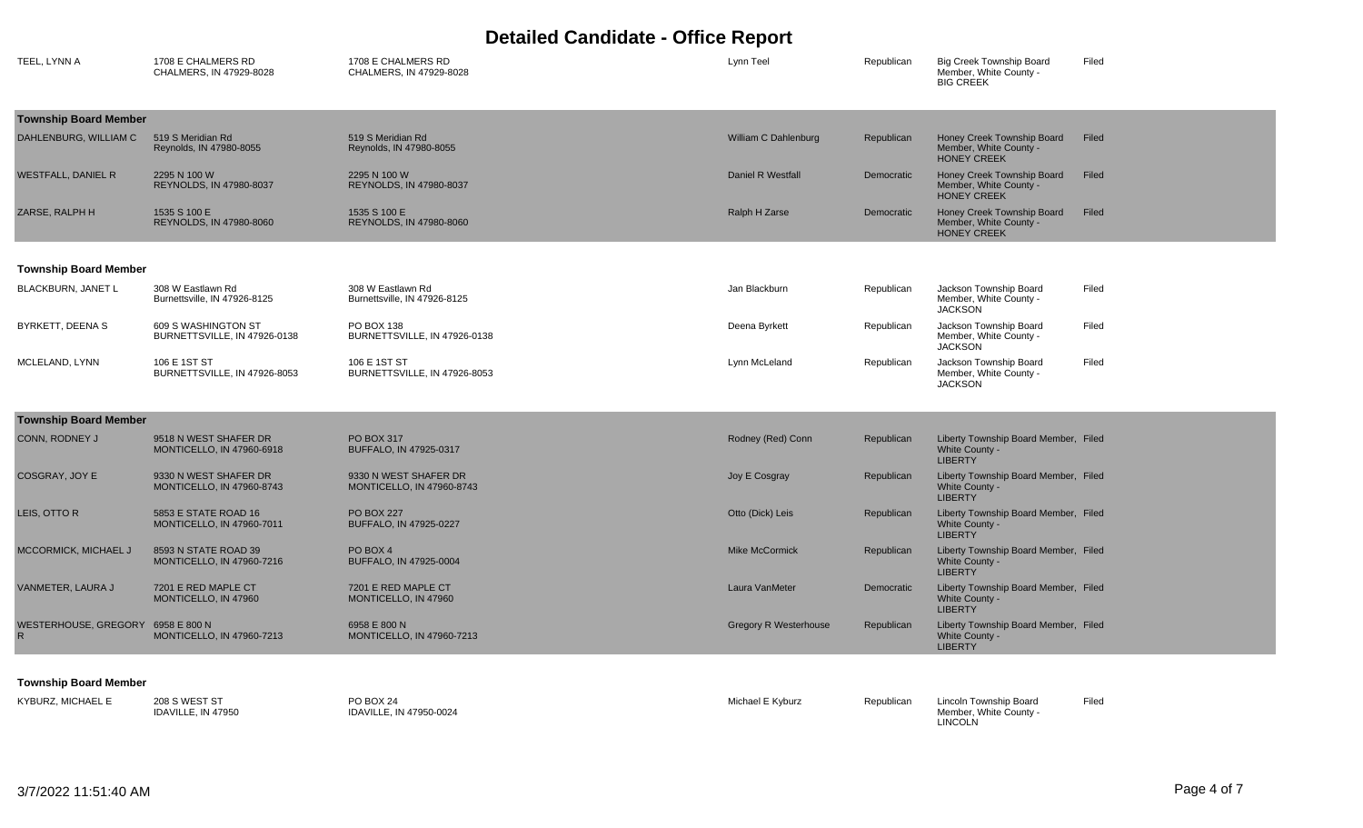| TEEL, LYNN A                 | 1708 E CHALMERS RD<br>CHALMERS, IN 47929-8028            | 1708 E CHALMERS RD<br>CHALMERS. IN 47929-8028      | Lynn Teel                    | Republican | <b>Big Creek Township Board</b><br>Member, White County -<br><b>BIG CREEK</b> | Filed |
|------------------------------|----------------------------------------------------------|----------------------------------------------------|------------------------------|------------|-------------------------------------------------------------------------------|-------|
| <b>Township Board Member</b> |                                                          |                                                    |                              |            |                                                                               |       |
| DAHLENBURG, WILLIAM C        | 519 S Meridian Rd<br>Reynolds, IN 47980-8055             | 519 S Meridian Rd<br>Reynolds, IN 47980-8055       | William C Dahlenburg         | Republican | Honey Creek Township Board<br>Member, White County -<br><b>HONEY CREEK</b>    | Filed |
| <b>WESTFALL, DANIEL R</b>    | 2295 N 100 W<br>REYNOLDS, IN 47980-8037                  | 2295 N 100 W<br>REYNOLDS, IN 47980-8037            | Daniel R Westfall            | Democratic | Honey Creek Township Board<br>Member, White County -<br><b>HONEY CREEK</b>    | Filed |
| ZARSE, RALPH H               | 1535 S 100 E<br>REYNOLDS, IN 47980-8060                  | 1535 S 100 E<br>REYNOLDS, IN 47980-8060            | Ralph H Zarse                | Democratic | Honey Creek Township Board<br>Member, White County -<br><b>HONEY CREEK</b>    | Filed |
| <b>Township Board Member</b> |                                                          |                                                    |                              |            |                                                                               |       |
| <b>BLACKBURN, JANET L</b>    | 308 W Eastlawn Rd<br>Burnettsville, IN 47926-8125        | 308 W Eastlawn Rd<br>Burnettsville, IN 47926-8125  | Jan Blackburn                | Republican | Jackson Township Board<br>Member, White County -<br><b>JACKSON</b>            | Filed |
| BYRKETT, DEENA S             | 609 S WASHINGTON ST<br>BURNETTSVILLE, IN 47926-0138      | PO BOX 138<br>BURNETTSVILLE, IN 47926-0138         | Deena Byrkett                | Republican | Jackson Township Board<br>Member, White County -<br><b>JACKSON</b>            | Filed |
| MCLELAND, LYNN               | 106 E 1ST ST<br>BURNETTSVILLE, IN 47926-8053             | 106 E 1ST ST<br>BURNETTSVILLE, IN 47926-8053       | Lynn McLeland                | Republican | Jackson Township Board<br>Member, White County -<br><b>JACKSON</b>            | Filed |
| <b>Township Board Member</b> |                                                          |                                                    |                              |            |                                                                               |       |
| CONN, RODNEY J               | 9518 N WEST SHAFER DR<br>MONTICELLO, IN 47960-6918       | <b>PO BOX 317</b><br>BUFFALO, IN 47925-0317        | Rodney (Red) Conn            | Republican | Liberty Township Board Member, Filed<br>White County -<br><b>LIBERTY</b>      |       |
| COSGRAY, JOY E               | 9330 N WEST SHAFER DR<br>MONTICELLO, IN 47960-8743       | 9330 N WEST SHAFER DR<br>MONTICELLO, IN 47960-8743 | Joy E Cosgray                | Republican | Liberty Township Board Member, Filed<br>White County -<br><b>LIBERTY</b>      |       |
| LEIS, OTTO R                 | 5853 E STATE ROAD 16<br>MONTICELLO, IN 47960-7011        | <b>PO BOX 227</b><br>BUFFALO, IN 47925-0227        | Otto (Dick) Leis             | Republican | Liberty Township Board Member, Filed<br>White County -<br><b>LIBERTY</b>      |       |
| MCCORMICK, MICHAEL J         | 8593 N STATE ROAD 39<br><b>MONTICELLO, IN 47960-7216</b> | PO BOX 4<br>BUFFALO, IN 47925-0004                 | <b>Mike McCormick</b>        | Republican | Liberty Township Board Member, Filed<br>White County -<br><b>LIBERTY</b>      |       |
| VANMETER, LAURA J            | 7201 E RED MAPLE CT<br>MONTICELLO, IN 47960              | 7201 E RED MAPLE CT<br>MONTICELLO, IN 47960        | Laura VanMeter               | Democratic | Liberty Township Board Member, Filed<br>White County -<br><b>LIBERTY</b>      |       |
| WESTERHOUSE, GREGORY         | 6958 E 800 N<br>MONTICELLO, IN 47960-7213                | 6958 E 800 N<br>MONTICELLO, IN 47960-7213          | <b>Gregory R Westerhouse</b> | Republican | Liberty Township Board Member, Filed<br>White County -<br><b>LIBERTY</b>      |       |
|                              |                                                          |                                                    |                              |            |                                                                               |       |

#### **Township Board Member**

| <b>PO BOX 24</b><br>KYBURZ. MICHAEL E<br>208 S WEST ST<br>IDAVILLE, IN 47950-0024<br>IDAVILLE, IN 47950 | Michael E Kyburz<br>Republican | Lincoln Township Board<br>Member. White County -<br>LINCOLN | Filed |
|---------------------------------------------------------------------------------------------------------|--------------------------------|-------------------------------------------------------------|-------|
|---------------------------------------------------------------------------------------------------------|--------------------------------|-------------------------------------------------------------|-------|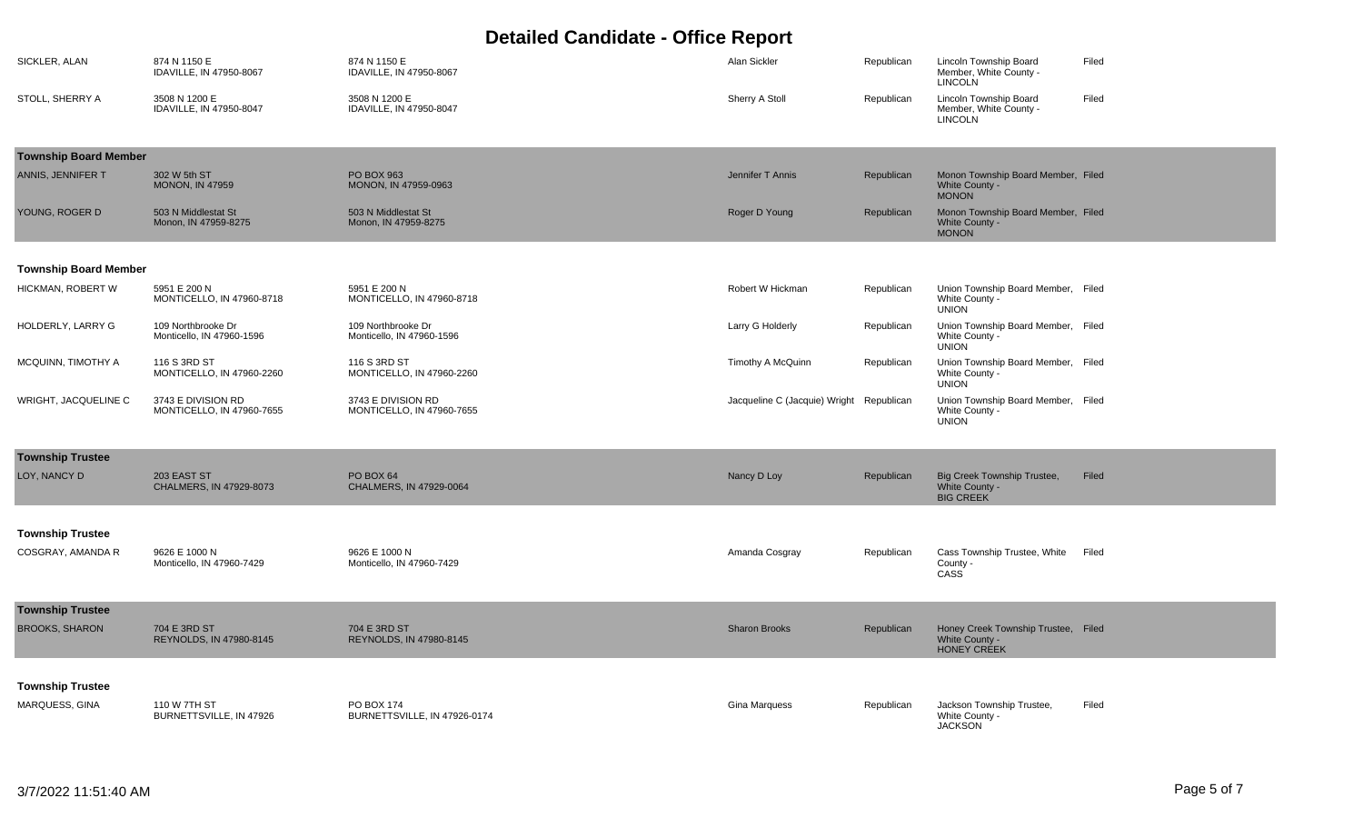| SICKLER, ALAN                                | 874 N 1150 E<br>IDAVILLE, IN 47950-8067         | 874 N 1150 E<br>IDAVILLE, IN 47950-8067         | Alan Sickler                  | Republican | Lincoln Township Board<br>Member, White County -<br><b>LINCOLN</b>          | Filed |
|----------------------------------------------|-------------------------------------------------|-------------------------------------------------|-------------------------------|------------|-----------------------------------------------------------------------------|-------|
| STOLL, SHERRY A                              | 3508 N 1200 E<br>IDAVILLE, IN 47950-8047        | 3508 N 1200 E<br>IDAVILLE, IN 47950-8047        | Sherry A Stoll                | Republican | Lincoln Township Board<br>Member, White County -<br><b>LINCOLN</b>          | Filed |
| <b>Township Board Member</b>                 |                                                 |                                                 |                               |            |                                                                             |       |
| ANNIS, JENNIFER T                            | 302 W 5th ST<br><b>MONON, IN 47959</b>          | PO BOX 963<br>MONON, IN 47959-0963              | Jennifer T Annis              | Republican | Monon Township Board Member, Filed<br>White County -<br><b>MONON</b>        |       |
| YOUNG, ROGER D                               | 503 N Middlestat St<br>Monon, IN 47959-8275     | 503 N Middlestat St<br>Monon, IN 47959-8275     | Roger D Young                 | Republican | Monon Township Board Member, Filed<br>White County -<br><b>MONON</b>        |       |
| <b>Township Board Member</b>                 |                                                 |                                                 |                               |            |                                                                             |       |
| HICKMAN, ROBERT W                            | 5951 E 200 N<br>MONTICELLO, IN 47960-8718       | 5951 E 200 N<br>MONTICELLO, IN 47960-8718       | Robert W Hickman              | Republican | Union Township Board Member, Filed<br>White County -<br><b>UNION</b>        |       |
| HOLDERLY, LARRY G                            | 109 Northbrooke Dr<br>Monticello, IN 47960-1596 | 109 Northbrooke Dr<br>Monticello, IN 47960-1596 | Larry G Holderly              | Republican | Union Township Board Member, Filed<br>White County -<br><b>UNION</b>        |       |
| MCQUINN, TIMOTHY A                           | 116 S 3RD ST<br>MONTICELLO, IN 47960-2260       | 116 S 3RD ST<br>MONTICELLO, IN 47960-2260       | Timothy A McQuinn             | Republican | Union Township Board Member, Filed<br>White County -<br><b>UNION</b>        |       |
| WRIGHT, JACQUELINE C                         | 3743 E DIVISION RD<br>MONTICELLO, IN 47960-7655 | 3743 E DIVISION RD<br>MONTICELLO, IN 47960-7655 | Jacqueline C (Jacquie) Wright | Republican | Union Township Board Member, Filed<br>White County -<br><b>UNION</b>        |       |
| <b>Township Trustee</b>                      |                                                 |                                                 |                               |            |                                                                             |       |
| LOY, NANCY D                                 | 203 EAST ST<br>CHALMERS, IN 47929-8073          | <b>PO BOX 64</b><br>CHALMERS, IN 47929-0064     | Nancy D Loy                   | Republican | <b>Big Creek Township Trustee,</b><br>White County -<br><b>BIG CREEK</b>    | Filed |
|                                              |                                                 |                                                 |                               |            |                                                                             |       |
| <b>Township Trustee</b><br>COSGRAY, AMANDA R | 9626 E 1000 N<br>Monticello, IN 47960-7429      | 9626 E 1000 N<br>Monticello, IN 47960-7429      | Amanda Cosgray                | Republican | Cass Township Trustee, White<br>County -<br>CASS <sup></sup>                | Filed |
| <b>Township Trustee</b>                      |                                                 |                                                 |                               |            |                                                                             |       |
| <b>BROOKS, SHARON</b>                        | 704 E 3RD ST<br>REYNOLDS, IN 47980-8145         | 704 E 3RD ST<br>REYNOLDS, IN 47980-8145         | <b>Sharon Brooks</b>          | Republican | Honey Creek Township Trustee, Filed<br>White County -<br><b>HONEY CREEK</b> |       |
|                                              |                                                 |                                                 |                               |            |                                                                             |       |
| <b>Township Trustee</b><br>MARQUESS, GINA    | 110 W 7TH ST<br>BURNETTSVILLE, IN 47926         | PO BOX 174<br>BURNETTSVILLE, IN 47926-0174      | <b>Gina Marquess</b>          | Republican | Jackson Township Trustee,<br>White County -<br><b>JACKSON</b>               | Filed |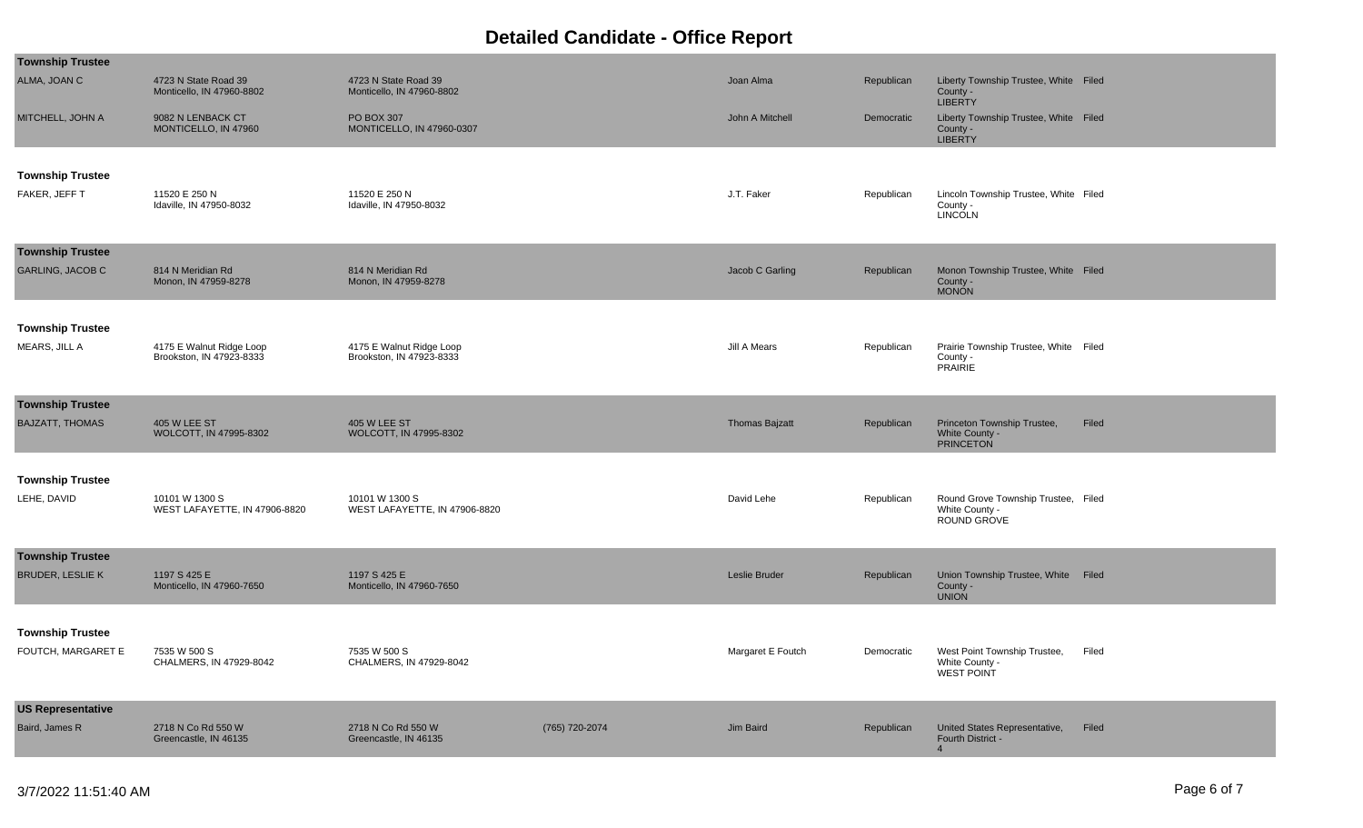| <b>Township Trustee</b>                            |                                                      |                                                      |                |                       |            |                                                                      |       |
|----------------------------------------------------|------------------------------------------------------|------------------------------------------------------|----------------|-----------------------|------------|----------------------------------------------------------------------|-------|
| ALMA, JOAN C                                       | 4723 N State Road 39<br>Monticello, IN 47960-8802    | 4723 N State Road 39<br>Monticello, IN 47960-8802    |                | Joan Alma             | Republican | Liberty Township Trustee, White Filed<br>County -<br><b>LIBERTY</b>  |       |
| MITCHELL, JOHN A                                   | 9082 N LENBACK CT<br>MONTICELLO, IN 47960            | PO BOX 307<br>MONTICELLO, IN 47960-0307              |                | John A Mitchell       | Democratic | Liberty Township Trustee, White Filed<br>County -<br><b>LIBERTY</b>  |       |
| <b>Township Trustee</b><br>FAKER, JEFF T           | 11520 E 250 N<br>Idaville, IN 47950-8032             | 11520 E 250 N<br>Idaville, IN 47950-8032             |                | J.T. Faker            | Republican | Lincoln Township Trustee, White Filed<br>County -<br>LINCOLN         |       |
| <b>Township Trustee</b><br><b>GARLING, JACOB C</b> | 814 N Meridian Rd<br>Monon, IN 47959-8278            | 814 N Meridian Rd<br>Monon, IN 47959-8278            |                | Jacob C Garling       | Republican | Monon Township Trustee, White Filed<br>County -<br><b>MONON</b>      |       |
| <b>Township Trustee</b><br>MEARS, JILL A           | 4175 E Walnut Ridge Loop<br>Brookston, IN 47923-8333 | 4175 E Walnut Ridge Loop<br>Brookston, IN 47923-8333 |                | Jill A Mears          | Republican | Prairie Township Trustee, White Filed<br>County -<br>PRAIRIE         |       |
| <b>Township Trustee</b><br><b>BAJZATT, THOMAS</b>  | <b>405 W LEE ST</b><br>WOLCOTT, IN 47995-8302        | <b>405 W LEE ST</b><br>WOLCOTT, IN 47995-8302        |                | <b>Thomas Bajzatt</b> | Republican | Princeton Township Trustee,<br>White County -<br><b>PRINCETON</b>    | Filed |
| <b>Township Trustee</b><br>LEHE, DAVID             | 10101 W 1300 S<br>WEST LAFAYETTE, IN 47906-8820      | 10101 W 1300 S<br>WEST LAFAYETTE, IN 47906-8820      |                | David Lehe            | Republican | Round Grove Township Trustee, Filed<br>White County -<br>ROUND GROVE |       |
| <b>Township Trustee</b><br><b>BRUDER, LESLIE K</b> | 1197 S 425 E<br>Monticello, IN 47960-7650            | 1197 S 425 E<br>Monticello, IN 47960-7650            |                | Leslie Bruder         | Republican | Union Township Trustee, White Filed<br>County -<br><b>UNION</b>      |       |
| <b>Township Trustee</b><br>FOUTCH, MARGARET E      | 7535 W 500 S<br>CHALMERS, IN 47929-8042              | 7535 W 500 S<br>CHALMERS, IN 47929-8042              |                | Margaret E Foutch     | Democratic | West Point Township Trustee,<br>White County -<br><b>WEST POINT</b>  | Filed |
| <b>US Representative</b><br>Baird, James R         | 2718 N Co Rd 550 W<br>Greencastle, IN 46135          | 2718 N Co Rd 550 W<br>Greencastle, IN 46135          | (765) 720-2074 | Jim Baird             | Republican | United States Representative,<br>Fourth District -<br>$\overline{4}$ | Filed |